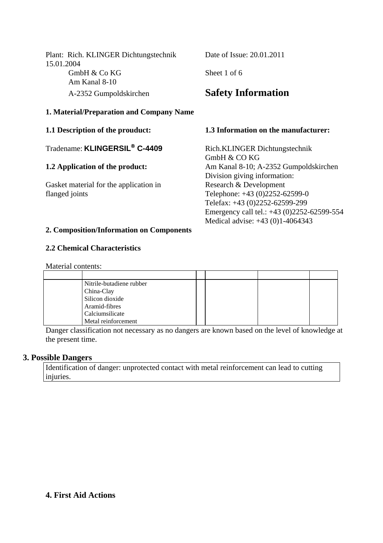Plant: Rich. KLINGER Dichtungstechnik Date of Issue: 20.01.2011 15.01.2004 GmbH & Co KG Sheet 1 of 6 Am Kanal 8-10 A-2352 Gumpoldskirchen **Safety Information**

### **1. Material/Preparation and Company Name**

Tradename: **KLINGERSIL**® **C-4409** Rich.KLINGER Dichtungstechnik

Gasket material for the application in Research & Development flanged joints Telephone:  $+43 (0)2252-62599-0$ 

#### **1.1 Description of the prouduct: 1.3 Information on the manufacturer:**

GmbH & CO KG **1.2 Application of the product:** Am Kanal 8-10; A-2352 Gumpoldskirchen Division giving information: Telefax: +43 (0)2252-62599-299 Emergency call tel.: +43 (0)2252-62599-554 Medical advise: +43 (0)1-4064343

#### **2. Composition/Information on Components**

#### **2.2 Chemical Characteristics**

Material contents:

| Nitrile-butadiene rubber |  |  |
|--------------------------|--|--|
| China-Clay               |  |  |
| Silicon dioxide          |  |  |
| Aramid-fibres            |  |  |
| Calciumsilicate          |  |  |
| Metal reinforcement      |  |  |

Danger classification not necessary as no dangers are known based on the level of knowledge at the present time.

#### **3. Possible Dangers**

Identification of danger: unprotected contact with metal reinforcement can lead to cutting injuries.

#### **4. First Aid Actions**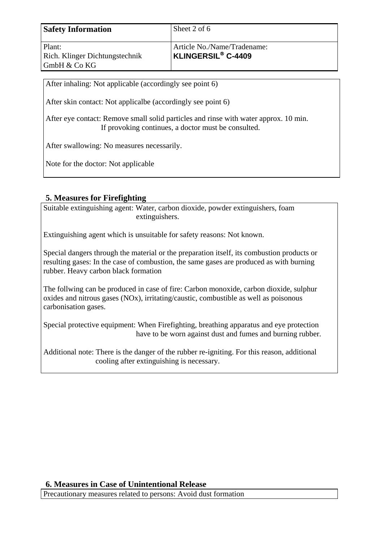| <b>Safety Information</b>                | Sheet 2 of 6                                                  |
|------------------------------------------|---------------------------------------------------------------|
| Plant:<br>Rich. Klinger Dichtungstechnik | Article No./Name/Tradename:<br>KLINGERSIL <sup>®</sup> C-4409 |
| GmbH & Co KG                             |                                                               |

After inhaling: Not applicable (accordingly see point 6)

After skin contact: Not applicalbe (accordingly see point 6)

After eye contact: Remove small solid particles and rinse with water approx. 10 min. If provoking continues, a doctor must be consulted.

After swallowing: No measures necessarily.

Note for the doctor: Not applicable

# **5. Measures for Firefighting**

Suitable extinguishing agent: Water, carbon dioxide, powder extinguishers, foam extinguishers.

Extinguishing agent which is unsuitable for safety reasons: Not known.

Special dangers through the material or the preparation itself, its combustion products or resulting gases: In the case of combustion, the same gases are produced as with burning rubber. Heavy carbon black formation

The follwing can be produced in case of fire: Carbon monoxide, carbon dioxide, sulphur oxides and nitrous gases (NOx), irritating/caustic, combustible as well as poisonous carbonisation gases.

Special protective equipment: When Firefighting, breathing apparatus and eye protection have to be worn against dust and fumes and burning rubber.

Additional note: There is the danger of the rubber re-igniting. For this reason, additional cooling after extinguishing is necessary.

Precautionary measures related to persons: Avoid dust formation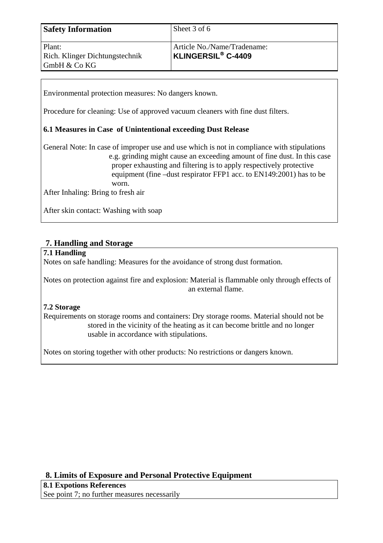| <b>Safety Information</b>                   | Sheet 3 of 6                   |
|---------------------------------------------|--------------------------------|
| Plant:                                      | Article No./Name/Tradename:    |
| Rich. Klinger Dichtungstechnik              | KLINGERSIL <sup>®</sup> C-4409 |
| $\mathsf{GmbH} \& \mathsf{Co}\,\mathsf{KG}$ |                                |

Environmental protection measures: No dangers known.

Procedure for cleaning: Use of approved vacuum cleaners with fine dust filters.

# **6.1 Measures in Case of Unintentional exceeding Dust Release**

General Note: In case of improper use and use which is not in compliance with stipulations e.g. grinding might cause an exceeding amount of fine dust. In this case proper exhausting and filtering is to apply respectively protective equipment (fine –dust respirator FFP1 acc. to EN149:2001) has to be worn.

After Inhaling: Bring to fresh air

After skin contact: Washing with soap

# **7. Handling and Storage**

# **7.1 Handling**

Notes on safe handling: Measures for the avoidance of strong dust formation.

Notes on protection against fire and explosion: Material is flammable only through effects of an external flame.

# **7.2 Storage**

Requirements on storage rooms and containers: Dry storage rooms. Material should not be stored in the vicinity of the heating as it can become brittle and no longer usable in accordance with stipulations.

Notes on storing together with other products: No restrictions or dangers known.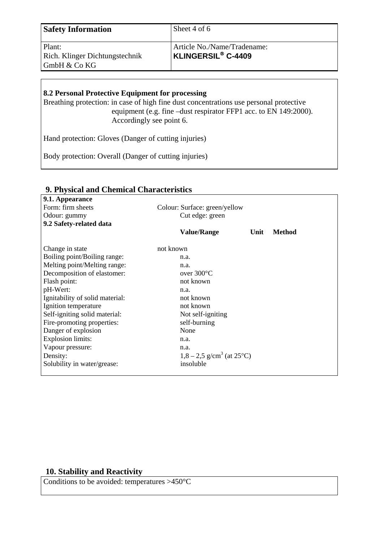| <b>Safety Information</b>                                | Sheet 4 of 6                                                        |
|----------------------------------------------------------|---------------------------------------------------------------------|
| Plant:<br>Rich. Klinger Dichtungstechnik<br>GmbH & Co KG | Article No./Name/Tradename:<br><b>KLINGERSIL<sup>®</sup> C-4409</b> |

# **8.2 Personal Protective Equipment for processing**  Breathing protection: in case of high fine dust concentrations use personal protective equipment (e.g. fine –dust respirator FFP1 acc. to EN 149:2000). Accordingly see point 6. Hand protection: Gloves (Danger of cutting injuries)

Body protection: Overall (Danger of cutting injuries)

| 9.1. Appearance                 |                                                      |      |               |
|---------------------------------|------------------------------------------------------|------|---------------|
| Form: firm sheets               | Colour: Surface: green/yellow                        |      |               |
| Odour: gummy                    | Cut edge: green                                      |      |               |
| 9.2 Safety-related data         |                                                      |      |               |
|                                 | <b>Value/Range</b>                                   | Unit | <b>Method</b> |
| Change in state                 | not known                                            |      |               |
| Boiling point/Boiling range:    | n.a.                                                 |      |               |
| Melting point/Melting range:    | n.a.                                                 |      |               |
| Decomposition of elastomer:     | over $300^{\circ}$ C                                 |      |               |
| Flash point:                    | not known                                            |      |               |
| pH-Wert:                        | n.a.                                                 |      |               |
| Ignitability of solid material: | not known                                            |      |               |
| Ignition temperature            | not known                                            |      |               |
| Self-igniting solid material:   | Not self-igniting                                    |      |               |
| Fire-promoting properties:      | self-burning                                         |      |               |
| Danger of explosion             | None                                                 |      |               |
| <b>Explosion limits:</b>        | n.a.                                                 |      |               |
| Vapour pressure:                | n.a.                                                 |      |               |
| Density:                        | $1,8 - 2,5$ g/cm <sup>3</sup> (at 25 <sup>o</sup> C) |      |               |
| Solubility in water/grease:     | insoluble                                            |      |               |
|                                 |                                                      |      |               |

# **9. Physical and Chemical Characteristics**

# **10. Stability and Reactivity**

Conditions to be avoided: temperatures >450°C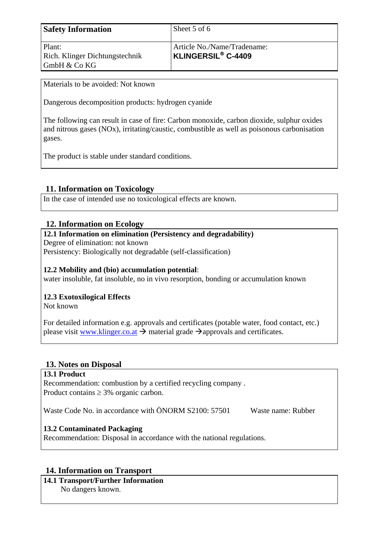| <b>Safety Information</b>                                | Sheet 5 of 6                                                  |
|----------------------------------------------------------|---------------------------------------------------------------|
| Plant:<br>Rich. Klinger Dichtungstechnik<br>GmbH & Co KG | Article No./Name/Tradename:<br>KLINGERSIL <sup>®</sup> C-4409 |

Materials to be avoided: Not known

Dangerous decomposition products: hydrogen cyanide

The following can result in case of fire: Carbon monoxide, carbon dioxide, sulphur oxides and nitrous gases (NOx), irritating/caustic, combustible as well as poisonous carbonisation gases.

The product is stable under standard conditions.

# **11. Information on Toxicology**

In the case of intended use no toxicological effects are known.

# **12. Information on Ecology**

### **12.1 Information on elimination (Persistency and degradability)**

Degree of elimination: not known

Persistency: Biologically not degradable (self-classification)

### **12.2 Mobility and (bio) accumulation potential**:

water insoluble, fat insoluble, no in vivo resorption, bonding or accumulation known

#### **12.3 Exotoxilogical Effects**

Not known

For detailed information e.g. approvals and certificates (potable water, food contact, etc.) please visit www.klinger.co.at  $\rightarrow$  material grade  $\rightarrow$  approvals and certificates.

# **13. Notes on Disposal**

#### **13.1 Product**

Recommendation: combustion by a certified recycling company . Product contains  $\geq$  3% organic carbon.

Waste Code No. in accordance with ÖNORM S2100: 57501 Waste name: Rubber

# **13.2 Contaminated Packaging**

Recommendation: Disposal in accordance with the national regulations.

# **14. Information on Transport**

**14.1 Transport/Further Information** No dangers known.